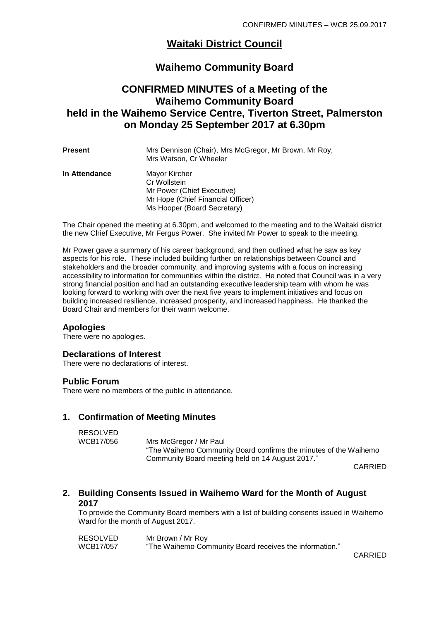# **Waitaki District Council**

# **Waihemo Community Board**

# **CONFIRMED MINUTES of a Meeting of the Waihemo Community Board held in the Waihemo Service Centre, Tiverton Street, Palmerston on Monday 25 September 2017 at 6.30pm**

| Present       | Mrs Dennison (Chair), Mrs McGregor, Mr Brown, Mr Roy,<br>Mrs Watson, Cr Wheeler                                                 |
|---------------|---------------------------------------------------------------------------------------------------------------------------------|
| In Attendance | Mayor Kircher<br>Cr Wollstein<br>Mr Power (Chief Executive)<br>Mr Hope (Chief Financial Officer)<br>Ms Hooper (Board Secretary) |

The Chair opened the meeting at 6.30pm, and welcomed to the meeting and to the Waitaki district the new Chief Executive, Mr Fergus Power. She invited Mr Power to speak to the meeting.

Mr Power gave a summary of his career background, and then outlined what he saw as key aspects for his role. These included building further on relationships between Council and stakeholders and the broader community, and improving systems with a focus on increasing accessibility to information for communities within the district. He noted that Council was in a very strong financial position and had an outstanding executive leadership team with whom he was looking forward to working with over the next five years to implement initiatives and focus on building increased resilience, increased prosperity, and increased happiness. He thanked the Board Chair and members for their warm welcome.

### **Apologies**

There were no apologies.

### **Declarations of Interest**

There were no declarations of interest.

### **Public Forum**

There were no members of the public in attendance.

# **1. Confirmation of Meeting Minutes**

RESOLVED<br>WCB17/056 Mrs McGregor / Mr Paul "The Waihemo Community Board confirms the minutes of the Waihemo Community Board meeting held on 14 August 2017."

CARRIED

# **2. Building Consents Issued in Waihemo Ward for the Month of August 2017**

To provide the Community Board members with a list of building consents issued in Waihemo Ward for the month of August 2017.

| RESOLVED  | Mr Brown / Mr Roy                                       |
|-----------|---------------------------------------------------------|
| WCB17/057 | "The Waihemo Community Board receives the information." |

CARRIED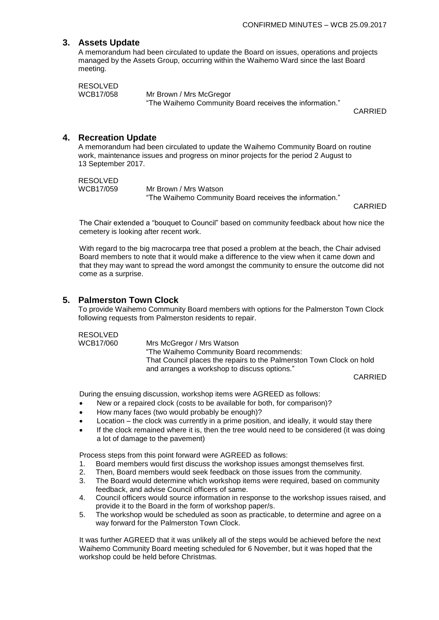# **3. Assets Update**

A memorandum had been circulated to update the Board on issues, operations and projects managed by the Assets Group, occurring within the Waihemo Ward since the last Board meeting.

RESOLVED WCB17/058 Mr Brown / Mrs McGregor

"The Waihemo Community Board receives the information."

CARRIED

### **4. Recreation Update**

A memorandum had been circulated to update the Waihemo Community Board on routine work, maintenance issues and progress on minor projects for the period 2 August to 13 September 2017.

```
RESOLVED<br>WCB17/059
```
Mr Brown / Mrs Watson "The Waihemo Community Board receives the information."

CARRIED

The Chair extended a "bouquet to Council" based on community feedback about how nice the cemetery is looking after recent work.

With regard to the big macrocarpa tree that posed a problem at the beach, the Chair advised Board members to note that it would make a difference to the view when it came down and that they may want to spread the word amongst the community to ensure the outcome did not come as a surprise.

### **5. Palmerston Town Clock**

To provide Waihemo Community Board members with options for the Palmerston Town Clock following requests from Palmerston residents to repair.

RESOLVED<br>WCB17/060

Mrs McGregor / Mrs Watson "The Waihemo Community Board recommends: That Council places the repairs to the Palmerston Town Clock on hold and arranges a workshop to discuss options."

CARRIED

During the ensuing discussion, workshop items were AGREED as follows:

- New or a repaired clock (costs to be available for both, for comparison)?
- How many faces (two would probably be enough)?
- Location the clock was currently in a prime position, and ideally, it would stay there
- If the clock remained where it is, then the tree would need to be considered (it was doing a lot of damage to the pavement)

Process steps from this point forward were AGREED as follows:

- 1. Board members would first discuss the workshop issues amongst themselves first.
- 2. Then, Board members would seek feedback on those issues from the community.
- 3. The Board would determine which workshop items were required, based on community feedback, and advise Council officers of same.
- 4. Council officers would source information in response to the workshop issues raised, and provide it to the Board in the form of workshop paper/s.
- 5. The workshop would be scheduled as soon as practicable, to determine and agree on a way forward for the Palmerston Town Clock.

It was further AGREED that it was unlikely all of the steps would be achieved before the next Waihemo Community Board meeting scheduled for 6 November, but it was hoped that the workshop could be held before Christmas.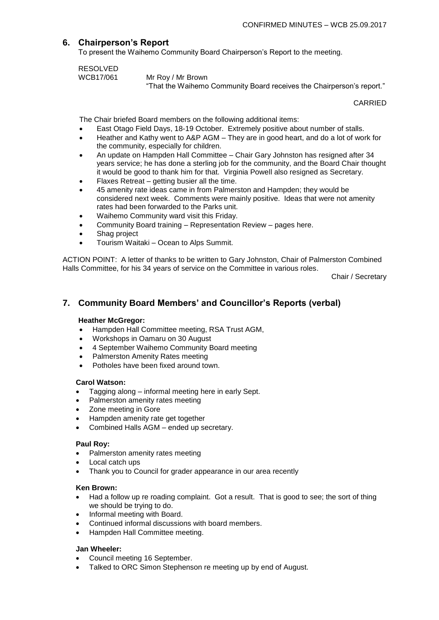## **6. Chairperson's Report**

To present the Waihemo Community Board Chairperson's Report to the meeting.

RESOLVED<br>WCB17/061

Mr Roy / Mr Brown

"That the Waihemo Community Board receives the Chairperson's report."

CARRIED

The Chair briefed Board members on the following additional items:

- East Otago Field Days, 18-19 October. Extremely positive about number of stalls.
- Heather and Kathy went to A&P AGM They are in good heart, and do a lot of work for the community, especially for children.
- An update on Hampden Hall Committee Chair Gary Johnston has resigned after 34 years service; he has done a sterling job for the community, and the Board Chair thought it would be good to thank him for that. Virginia Powell also resigned as Secretary.
- Flaxes Retreat getting busier all the time.
- 45 amenity rate ideas came in from Palmerston and Hampden; they would be considered next week. Comments were mainly positive. Ideas that were not amenity rates had been forwarded to the Parks unit.
- Waihemo Community ward visit this Friday.
- Community Board training Representation Review pages here.
- Shag project
- Tourism Waitaki Ocean to Alps Summit.

ACTION POINT: A letter of thanks to be written to Gary Johnston, Chair of Palmerston Combined Halls Committee, for his 34 years of service on the Committee in various roles.

Chair / Secretary

# **7. Community Board Members' and Councillor's Reports (verbal)**

### **Heather McGregor:**

- Hampden Hall Committee meeting, RSA Trust AGM,
- Workshops in Oamaru on 30 August
- 4 September Waihemo Community Board meeting
- Palmerston Amenity Rates meeting
- Potholes have been fixed around town.

### **Carol Watson:**

- Tagging along informal meeting here in early Sept.
- Palmerston amenity rates meeting
- Zone meeting in Gore
- Hampden amenity rate get together
- Combined Halls AGM ended up secretary.

### **Paul Roy:**

- Palmerston amenity rates meeting
- Local catch ups
- Thank you to Council for grader appearance in our area recently

### **Ken Brown:**

- Had a follow up re roading complaint. Got a result. That is good to see; the sort of thing we should be trying to do.
- Informal meeting with Board.
- Continued informal discussions with board members.
- Hampden Hall Committee meeting.

### **Jan Wheeler:**

- Council meeting 16 September.
- Talked to ORC Simon Stephenson re meeting up by end of August.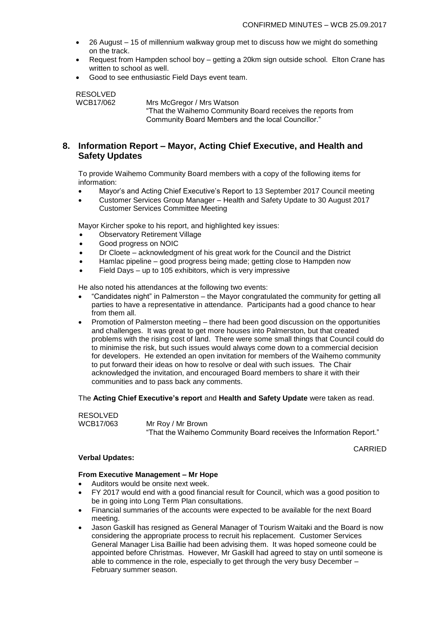- 26 August 15 of millennium walkway group met to discuss how we might do something on the track.
- Request from Hampden school boy getting a 20km sign outside school. Elton Crane has written to school as well.
- Good to see enthusiastic Field Days event team.

RESOLVED<br>WCB17/062 Mrs McGregor / Mrs Watson "That the Waihemo Community Board receives the reports from Community Board Members and the local Councillor."

# **8. Information Report – Mayor, Acting Chief Executive, and Health and Safety Updates**

To provide Waihemo Community Board members with a copy of the following items for information:

- Mayor's and Acting Chief Executive's Report to 13 September 2017 Council meeting
- Customer Services Group Manager Health and Safety Update to 30 August 2017 Customer Services Committee Meeting

Mayor Kircher spoke to his report, and highlighted key issues:

- Observatory Retirement Village
- Good progress on NOIC
- Dr Cloete acknowledgment of his great work for the Council and the District
- Hamlac pipeline good progress being made; getting close to Hampden now
- Field Days up to 105 exhibitors, which is very impressive

He also noted his attendances at the following two events:

- "Candidates night" in Palmerston the Mayor congratulated the community for getting all parties to have a representative in attendance. Participants had a good chance to hear from them all.
- Promotion of Palmerston meeting there had been good discussion on the opportunities and challenges. It was great to get more houses into Palmerston, but that created problems with the rising cost of land. There were some small things that Council could do to minimise the risk, but such issues would always come down to a commercial decision for developers. He extended an open invitation for members of the Waihemo community to put forward their ideas on how to resolve or deal with such issues. The Chair acknowledged the invitation, and encouraged Board members to share it with their communities and to pass back any comments.

The **Acting Chief Executive's report** and **Health and Safety Update** were taken as read.

RESOLVED

WCB17/063 Mr Roy / Mr Brown "That the Waihemo Community Board receives the Information Report."

CARRIED

### **Verbal Updates:**

### **From Executive Management – Mr Hope**

- Auditors would be onsite next week.
- FY 2017 would end with a good financial result for Council, which was a good position to be in going into Long Term Plan consultations.
- Financial summaries of the accounts were expected to be available for the next Board meeting.
- Jason Gaskill has resigned as General Manager of Tourism Waitaki and the Board is now considering the appropriate process to recruit his replacement. Customer Services General Manager Lisa Baillie had been advising them. It was hoped someone could be appointed before Christmas. However, Mr Gaskill had agreed to stay on until someone is able to commence in the role, especially to get through the very busy December – February summer season.